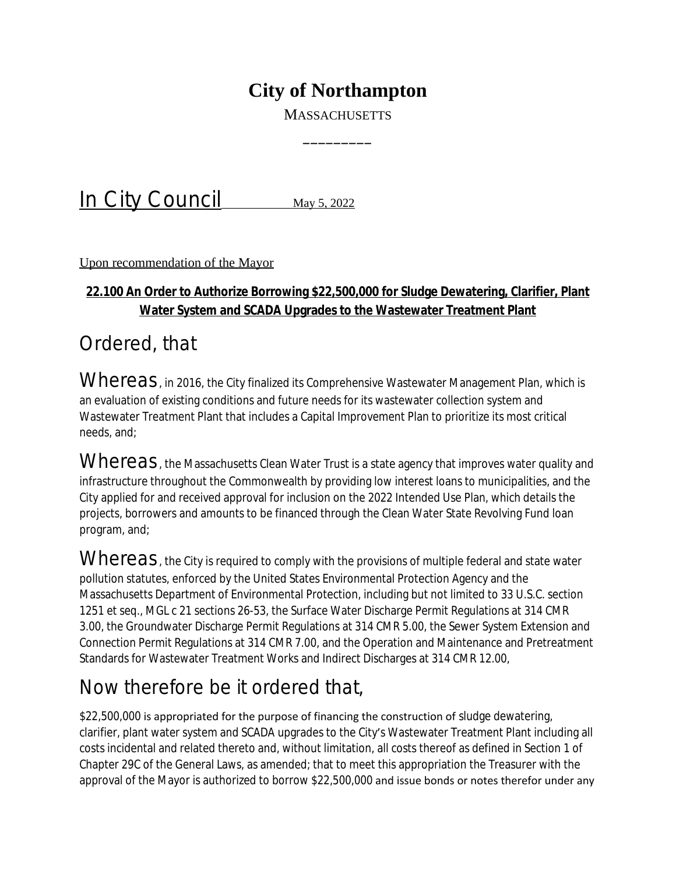## **City of Northampton**

**MASSACHUSETTS** 

 $\overline{\phantom{a}}$ 

In City Council May 5, 2022

Upon recommendation of the Mayor

## **22.100 An Order to Authorize Borrowing \$22,500,000 for Sludge Dewatering, Clarifier, Plant Water System and SCADA Upgrades to the Wastewater Treatment Plant**

## Ordered, that

Whereas, in 2016, the City finalized its Comprehensive Wastewater Management Plan, which is an evaluation of existing conditions and future needs for its wastewater collection system and Wastewater Treatment Plant that includes a Capital Improvement Plan to prioritize its most critical needs, and;

Whereas, the Massachusetts Clean Water Trust is a state agency that improves water quality and infrastructure throughout the Commonwealth by providing low interest loans to municipalities, and the City applied for and received approval for inclusion on the 2022 Intended Use Plan, which details the projects, borrowers and amounts to be financed through the Clean Water State Revolving Fund loan program, and;

Whereas, the City is required to comply with the provisions of multiple federal and state water pollution statutes, enforced by the United States Environmental Protection Agency and the Massachusetts Department of Environmental Protection, including but not limited to 33 U.S.C. section 1251 et seq., MGL c 21 sections 26-53, the Surface Water Discharge Permit Regulations at 314 CMR 3.00, the Groundwater Discharge Permit Regulations at 314 CMR 5.00, the Sewer System Extension and Connection Permit Regulations at 314 CMR 7.00, and the Operation and Maintenance and Pretreatment Standards for Wastewater Treatment Works and Indirect Discharges at 314 CMR 12.00,

## Now therefore be it ordered that,

\$22,500,000 is appropriated for the purpose of financing the construction of sludge dewatering, clarifier, plant water system and SCADA upgrades to the City's Wastewater Treatment Plant including all costs incidental and related thereto and, without limitation, all costs thereof as defined in Section 1 of Chapter 29C of the General Laws, as amended; that to meet this appropriation the Treasurer with the approval of the Mayor is authorized to borrow \$22,500,000 and issue bonds or notes therefor under any